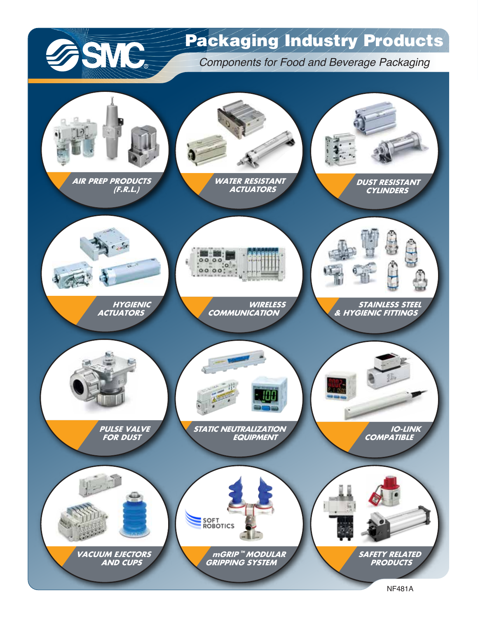

### Packaging Industry Products

*Components for Food and Beverage Packaging*